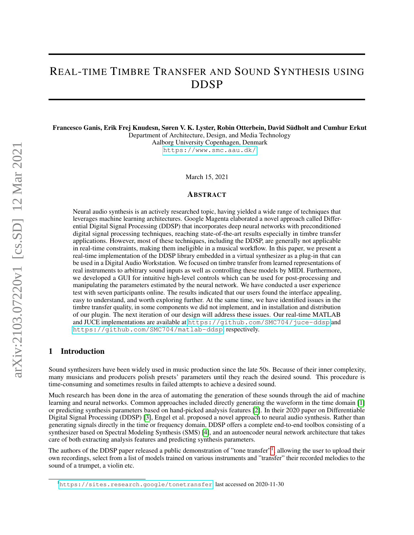# REAL-TIME TIMBRE TRANSFER AND SOUND SYNTHESIS USING DDSP

Francesco Ganis, Erik Frej Knudesn, Søren V. K. Lyster, Robin Otterbein, David Sudholt and Cumhur Erkut ¨ Department of Architecture, Design, and Media Technology

Aalborg University Copenhagen, Denmark <https://www.smc.aau.dk/>

March 15, 2021

#### ABSTRACT

Neural audio synthesis is an actively researched topic, having yielded a wide range of techniques that leverages machine learning architectures. Google Magenta elaborated a novel approach called Differential Digital Signal Processing (DDSP) that incorporates deep neural networks with preconditioned digital signal processing techniques, reaching state-of-the-art results especially in timbre transfer applications. However, most of these techniques, including the DDSP, are generally not applicable in real-time constraints, making them ineligible in a musical workflow. In this paper, we present a real-time implementation of the DDSP library embedded in a virtual synthesizer as a plug-in that can be used in a Digital Audio Workstation. We focused on timbre transfer from learned representations of real instruments to arbitrary sound inputs as well as controlling these models by MIDI. Furthermore, we developed a GUI for intuitive high-level controls which can be used for post-processing and manipulating the parameters estimated by the neural network. We have conducted a user experience test with seven participants online. The results indicated that our users found the interface appealing, easy to understand, and worth exploring further. At the same time, we have identified issues in the timbre transfer quality, in some components we did not implement, and in installation and distribution of our plugin. The next iteration of our design will address these issues. Our real-time MATLAB and JUCE implementations are available at <https://github.com/SMC704/juce-ddsp> and <https://github.com/SMC704/matlab-ddsp>, respectively.

#### 1 Introduction

Sound synthesizers have been widely used in music production since the late 50s. Because of their inner complexity, many musicians and producers polish presets' parameters until they reach the desired sound. This procedure is time-consuming and sometimes results in failed attempts to achieve a desired sound.

Much research has been done in the area of automating the generation of these sounds through the aid of machine learning and neural networks. Common approaches included directly generating the waveform in the time domain [\[1\]](#page-10-0) or predicting synthesis parameters based on hand-picked analysis features [\[2\]](#page-10-1). In their 2020 paper on Differentiable Digital Signal Processing (DDSP) [\[3\]](#page-10-2), Engel et al. proposed a novel approach to neural audio synthesis. Rather than generating signals directly in the time or frequency domain, DDSP offers a complete end-to-end toolbox consisting of a synthesizer based on Spectral Modeling Synthesis (SMS) [\[4\]](#page-10-3), and an autoencoder neural network architecture that takes care of both extracting analysis features and predicting synthesis parameters.

The authors of the DDSP paper released a public demonstration of "tone transfer"<sup>[1](#page-0-0)</sup>, allowing the user to upload their own recordings, select from a list of models trained on various instruments and "transfer" their recorded melodies to the sound of a trumpet, a violin etc.

<span id="page-0-0"></span><sup>&</sup>lt;sup>1</sup><https://sites.research.google/tonetransfer>, last accessed on 2020-11-30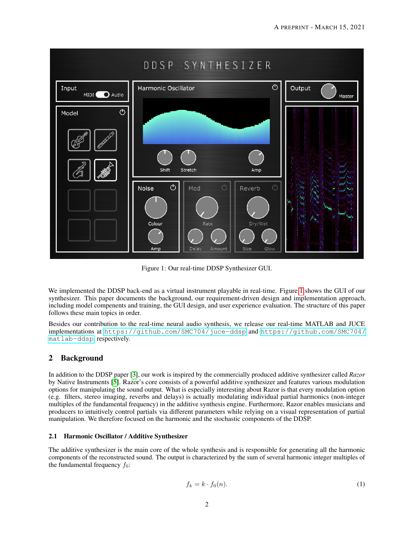<span id="page-1-0"></span>

Figure 1: Our real-time DDSP Synthesizer GUI.

We implemented the DDSP back-end as a virtual instrument playable in real-time. Figure [1](#page-1-0) shows the GUI of our synthesizer. This paper documents the background, our requirement-driven design and implementation approach, including model compenents and training, the GUI design, and user experience evaluation. The structure of this paper follows these main topics in order.

Besides our contribution to the real-time neural audio synthesis, we release our real-time MATLAB and JUCE implementations at <https://github.com/SMC704/juce-ddsp> and [https://github.com/SMC704/](https://github.com/SMC704/matlab-ddsp) [matlab-ddsp](https://github.com/SMC704/matlab-ddsp), respectively.

# 2 Background

In addition to the DDSP paper [\[3\]](#page-10-2), our work is inspired by the commercially produced additive synthesizer called *Razor* by Native Instruments [\[5\]](#page-10-4). Razor's core consists of a powerful additive synthesizer and features various modulation options for manipulating the sound output. What is especially interesting about Razor is that every modulation option (e.g. filters, stereo imaging, reverbs and delays) is actually modulating individual partial harmonics (non-integer multiples of the fundamental frequency) in the additive synthesis engine. Furthermore, Razor enables musicians and producers to intuitively control partials via different parameters while relying on a visual representation of partial manipulation. We therefore focused on the harmonic and the stochastic components of the DDSP.

## <span id="page-1-1"></span>2.1 Harmonic Oscillator / Additive Synthesizer

The additive synthesizer is the main core of the whole synthesis and is responsible for generating all the harmonic components of the reconstructed sound. The output is characterized by the sum of several harmonic integer multiples of the fundamental frequency  $f_0$ :

$$
f_k = k \cdot f_0(n). \tag{1}
$$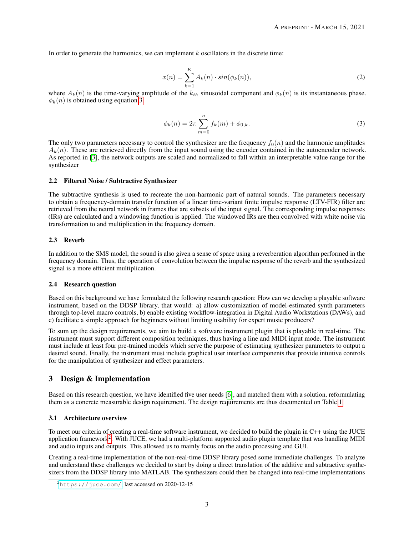In order to generate the harmonics, we can implement  $k$  oscillators in the discrete time:

$$
x(n) = \sum_{k=1}^{K} A_k(n) \cdot \sin(\phi_k(n)),
$$
\n(2)

where  $A_k(n)$  is the time-varying amplitude of the  $k_{th}$  sinusoidal component and  $\phi_k(n)$  is its instantaneous phase.  $\phi_k(n)$  is obtained using equation [3.](#page-2-0)

<span id="page-2-0"></span>
$$
\phi_k(n) = 2\pi \sum_{m=0}^n f_k(m) + \phi_{0,k}.
$$
\n(3)

The only two parameters necessary to control the synthesizer are the frequency  $f_0(n)$  and the harmonic amplitudes  $A_k(n)$ . These are retrieved directly from the input sound using the encoder contained in the autoencoder network. As reported in [\[3\]](#page-10-2), the network outputs are scaled and normalized to fall within an interpretable value range for the synthesizer

#### <span id="page-2-2"></span>2.2 Filtered Noise / Subtractive Synthesizer

The subtractive synthesis is used to recreate the non-harmonic part of natural sounds. The parameters necessary to obtain a frequency-domain transfer function of a linear time-variant finite impulse response (LTV-FIR) filter are retrieved from the neural network in frames that are subsets of the input signal. The corresponding impulse responses (IRs) are calculated and a windowing function is applied. The windowed IRs are then convolved with white noise via transformation to and multiplication in the frequency domain.

#### 2.3 Reverb

In addition to the SMS model, the sound is also given a sense of space using a reverberation algorithm performed in the frequency domain. Thus, the operation of convolution between the impulse response of the reverb and the synthesized signal is a more efficient multiplication.

#### 2.4 Research question

Based on this background we have formulated the following research question: How can we develop a playable software instrument, based on the DDSP library, that would: a) allow customization of model-estimated synth parameters through top-level macro controls, b) enable existing workflow-integration in Digital Audio Workstations (DAWs), and c) facilitate a simple approach for beginners without limiting usability for expert music producers?

To sum up the design requirements, we aim to build a software instrument plugin that is playable in real-time. The instrument must support different composition techniques, thus having a line and MIDI input mode. The instrument must include at least four pre-trained models which serve the purpose of estimating synthesizer parameters to output a desired sound. Finally, the instrument must include graphical user interface components that provide intuitive controls for the manipulation of synthesizer and effect parameters.

## 3 Design & Implementation

Based on this research question, we have identified five user needs [\[6\]](#page-10-5), and matched them with a solution, reformulating them as a concrete measurable design requirement. The design requirements are thus documented on Table [1.](#page-3-0)

#### 3.1 Architecture overview

To meet our criteria of creating a real-time software instrument, we decided to build the plugin in C++ using the JUCE application framework<sup>[2](#page-2-1)</sup>. With JUCE, we had a multi-platform supported audio plugin template that was handling MIDI and audio inputs and outputs. This allowed us to mainly focus on the audio processing and GUI.

Creating a real-time implementation of the non-real-time DDSP library posed some immediate challenges. To analyze and understand these challenges we decided to start by doing a direct translation of the additive and subtractive synthesizers from the DDSP library into MATLAB. The synthesizers could then be changed into real-time implementations

<span id="page-2-1"></span> $^{2}$ <https://juce.com/>, last accessed on 2020-12-15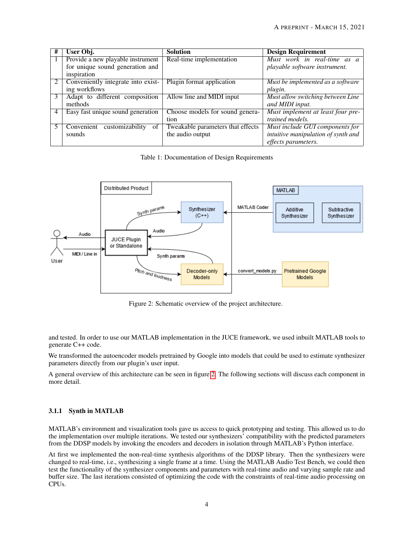| # | User Obj.                           | <b>Solution</b>                   | <b>Design Requirement</b>           |
|---|-------------------------------------|-----------------------------------|-------------------------------------|
|   | Provide a new playable instrument   | Real-time implementation          | Must work in real-time as a         |
|   | for unique sound generation and     |                                   | playable software instrument.       |
|   | inspiration                         |                                   |                                     |
|   | Conveniently integrate into exist-  | Plugin format application         | Must be implemented as a software   |
|   | ing workflows                       |                                   | plugin.                             |
|   | Adapt to different composition      | Allow line and MIDI input         | Must allow switching between Line   |
|   | methods                             |                                   | and MIDI input.                     |
|   | Easy fast unique sound generation   | Choose models for sound genera-   | Must implement at least four pre-   |
|   |                                     | tion                              | trained models.                     |
|   | Convenient<br>customizability<br>of | Tweakable parameters that effects | Must include GUI components for     |
|   | sounds                              | the audio output                  | intuitive manipulation of synth and |
|   |                                     |                                   | effects parameters.                 |

<span id="page-3-0"></span>Table 1: Documentation of Design Requirements



<span id="page-3-1"></span>Figure 2: Schematic overview of the project architecture.

and tested. In order to use our MATLAB implementation in the JUCE framework, we used inbuilt MATLAB tools to generate C++ code.

We transformed the autoencoder models pretrained by Google into models that could be used to estimate synthesizer parameters directly from our plugin's user input.

A general overview of this architecture can be seen in figure [2.](#page-3-1) The following sections will discuss each component in more detail.

## 3.1.1 Synth in MATLAB

MATLAB's environment and visualization tools gave us access to quick prototyping and testing. This allowed us to do the implementation over multiple iterations. We tested our synthesizers' compatibility with the predicted parameters from the DDSP models by invoking the encoders and decoders in isolation through MATLAB's Python interface.

At first we implemented the non-real-time synthesis algorithms of the DDSP library. Then the synthesizers were changed to real-time, i.e., synthesizing a single frame at a time. Using the MATLAB Audio Test Bench, we could then test the functionality of the synthesizer components and parameters with real-time audio and varying sample rate and buffer size. The last iterations consisted of optimizing the code with the constraints of real-time audio processing on CPUs.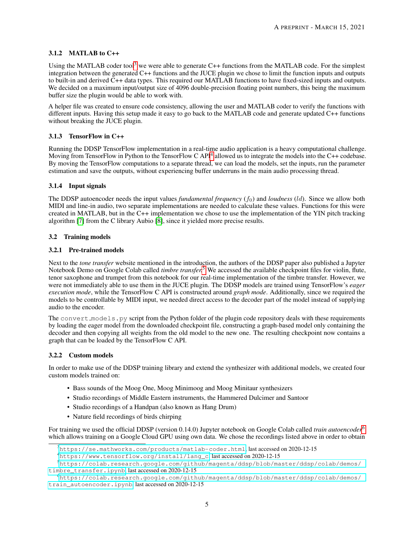#### 3.1.2 MATLAB to C++

Using the MATLAB coder tool<sup>[3](#page-4-0)</sup> we were able to generate  $C++$  functions from the MATLAB code. For the simplest integration between the generated C++ functions and the JUCE plugin we chose to limit the function inputs and outputs to built-in and derived C++ data types. This required our MATLAB functions to have fixed-sized inputs and outputs. We decided on a maximum input/output size of 4096 double-precision floating point numbers, this being the maximum buffer size the plugin would be able to work with.

A helper file was created to ensure code consistency, allowing the user and MATLAB coder to verify the functions with different inputs. Having this setup made it easy to go back to the MATLAB code and generate updated C++ functions without breaking the JUCE plugin.

#### 3.1.3 TensorFlow in C++

Running the DDSP TensorFlow implementation in a real-time audio application is a heavy computational challenge. Moving from TensorFlow in Python to the TensorFlow C API<sup>[4](#page-4-1)</sup> allowed us to integrate the models into the C++ codebase. By moving the TensorFlow computations to a separate thread, we can load the models, set the inputs, run the parameter estimation and save the outputs, without experiencing buffer underruns in the main audio processing thread.

#### 3.1.4 Input signals

The DDSP autoencoder needs the input values *fundamental frequency*  $(f_0)$  and *loudness* (*ld*). Since we allow both MIDI and line-in audio, two separate implementations are needed to calculate these values. Functions for this were created in MATLAB, but in the C++ implementation we chose to use the implementation of the YIN pitch tracking algorithm [\[7\]](#page-10-6) from the C library Aubio [\[8\]](#page-10-7), since it yielded more precise results.

#### 3.2 Training models

#### 3.2.1 Pre-trained models

Next to the *tone transfer* website mentioned in the introduction, the authors of the DDSP paper also published a Jupyter Notebook Demo on Google Colab called *timbre transfer.*[5](#page-4-2) We accessed the available checkpoint files for violin, flute, tenor saxophone and trumpet from this notebook for our real-time implementation of the timbre transfer. However, we were not immediately able to use them in the JUCE plugin. The DDSP models are trained using TensorFlow's *eager execution mode*, while the TensorFlow C API is constructed around *graph mode*. Additionally, since we required the models to be controllable by MIDI input, we needed direct access to the decoder part of the model instead of supplying audio to the encoder.

The convert models. py script from the Python folder of the plugin code repository deals with these requirements by loading the eager model from the downloaded checkpoint file, constructing a graph-based model only containing the decoder and then copying all weights from the old model to the new one. The resulting checkpoint now contains a graph that can be loaded by the TensorFlow C API.

#### 3.2.2 Custom models

In order to make use of the DDSP training library and extend the synthesizer with additional models, we created four custom models trained on:

- Bass sounds of the Moog One, Moog Minimoog and Moog Minitaur synthesizers
- Studio recordings of Middle Eastern instruments, the Hammered Dulcimer and Santoor
- Studio recordings of a Handpan (also known as Hang Drum)
- Nature field recordings of birds chirping

For training we used the official DDSP (version 0.14.0) Jupyter notebook on Google Colab called *train autoencoder*[6](#page-4-3) which allows training on a Google Cloud GPU using own data. We chose the recordings listed above in order to obtain

<span id="page-4-0"></span><sup>3</sup><https://se.mathworks.com/products/matlab-coder.html>, last accessed on 2020-12-15

<span id="page-4-2"></span><span id="page-4-1"></span><sup>4</sup>[https://www.tensorflow.org/install/lang\\_c](https://www.tensorflow.org/install/lang_c), last accessed on 2020-12-15

<sup>5</sup>[https://colab.research.google.com/github/magenta/ddsp/blob/master/ddsp/colab/demos/](https://colab.research.google.com/github/magenta/ddsp/blob/master/ddsp/colab/demos/timbre_transfer.ipynb) [timbre\\_transfer.ipynb](https://colab.research.google.com/github/magenta/ddsp/blob/master/ddsp/colab/demos/timbre_transfer.ipynb), last accessed on 2020-12-15

<span id="page-4-3"></span><sup>6</sup>[https://colab.research.google.com/github/magenta/ddsp/blob/master/ddsp/colab/demos/](https://colab.research.google.com/github/magenta/ddsp/blob/master/ddsp/colab/demos/train_autoencoder.ipynb) [train\\_autoencoder.ipynb](https://colab.research.google.com/github/magenta/ddsp/blob/master/ddsp/colab/demos/train_autoencoder.ipynb), last accessed on 2020-12-15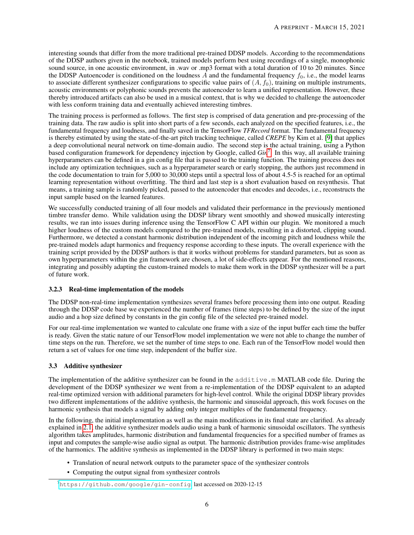interesting sounds that differ from the more traditional pre-trained DDSP models. According to the recommendations of the DDSP authors given in the notebook, trained models perform best using recordings of a single, monophonic sound source, in one acoustic environment, in .wav or .mp3 format with a total duration of 10 to 20 minutes. Since the DDSP Autoencoder is conditioned on the loudness  $\overline{A}$  and the fundamental frequency  $f_0$ , i.e., the model learns to associate different synthesizer configurations to specific value pairs of  $(A, f_0)$ , training on multiple instruments, acoustic environments or polyphonic sounds prevents the autoencoder to learn a unified representation. However, these thereby introduced artifacts can also be used in a musical context, that is why we decided to challenge the autoencoder with less conform training data and eventually achieved interesting timbres.

The training process is performed as follows. The first step is comprised of data generation and pre-processing of the training data. The raw audio is split into short parts of a few seconds, each analyzed on the specified features, i.e., the fundamental frequency and loudness, and finally saved in the TensorFlow *TFRecord* format. The fundamental frequency is thereby estimated by using the state-of-the-art pitch tracking technique, called *CREPE* by Kim et al. [\[9\]](#page-10-8) that applies a deep convolutional neural network on time-domain audio. The second step is the actual training, using a Python based configuration framework for dependency injection by Google, called *Gin*[7](#page-5-0) . In this way, all available training hyperparameters can be defined in a gin config file that is passed to the training function. The training process does not include any optimization techniques, such as a hyperparameter search or early stopping, the authors just recommend in the code documentation to train for 5,000 to 30,000 steps until a spectral loss of about 4.5-5 is reached for an optimal learning representation without overfitting. The third and last step is a short evaluation based on resynthesis. That means, a training sample is randomly picked, passed to the autoencoder that encodes and decodes, i.e., reconstructs the input sample based on the learned features.

We successfully conducted training of all four models and validated their performance in the previously mentioned timbre transfer demo. While validation using the DDSP library went smoothly and showed musically interesting results, we ran into issues during inference using the TensorFlow C API within our plugin. We monitored a much higher loudness of the custom models compared to the pre-trained models, resulting in a distorted, clipping sound. Furthermore, we detected a constant harmonic distribution independent of the incoming pitch and loudness while the pre-trained models adapt harmonics and frequency response according to these inputs. The overall experience with the training script provided by the DDSP authors is that it works without problems for standard parameters, but as soon as own hyperparameters within the gin framework are chosen, a lot of side-effects appear. For the mentioned reasons, integrating and possibly adapting the custom-trained models to make them work in the DDSP synthesizer will be a part of future work.

## 3.2.3 Real-time implementation of the models

The DDSP non-real-time implementation synthesizes several frames before processing them into one output. Reading through the DDSP code base we experienced the number of frames (time steps) to be defined by the size of the input audio and a hop size defined by constants in the gin config file of the selected pre-trained model.

For our real-time implementation we wanted to calculate one frame with a size of the input buffer each time the buffer is ready. Given the static nature of our TensorFlow model implementation we were not able to change the number of time steps on the run. Therefore, we set the number of time steps to one. Each run of the TensorFlow model would then return a set of values for one time step, independent of the buffer size.

## 3.3 Additive synthesizer

The implementation of the additive synthesizer can be found in the additive.m MATLAB code file. During the development of the DDSP synthesizer we went from a re-implementation of the DDSP equivalent to an adapted real-time optimized version with additional parameters for high-level control. While the original DDSP library provides two different implementations of the additive synthesis, the harmonic and sinusoidal approach, this work focuses on the harmonic synthesis that models a signal by adding only integer multiples of the fundamental frequency.

In the following, the initial implementation as well as the main modifications in its final state are clarified. As already explained in [2.1,](#page-1-1) the additive synthesizer models audio using a bank of harmonic sinusoidal oscillators. The synthesis algorithm takes amplitudes, harmonic distribution and fundamental frequencies for a specified number of frames as input and computes the sample-wise audio signal as output. The harmonic distribution provides frame-wise amplitudes of the harmonics. The additive synthesis as implemented in the DDSP library is performed in two main steps:

- Translation of neural network outputs to the parameter space of the synthesizer controls
- Computing the output signal from synthesizer controls

<span id="page-5-0"></span> $^{7}$ <https://github.com/google/gin-config>, last accessed on 2020-12-15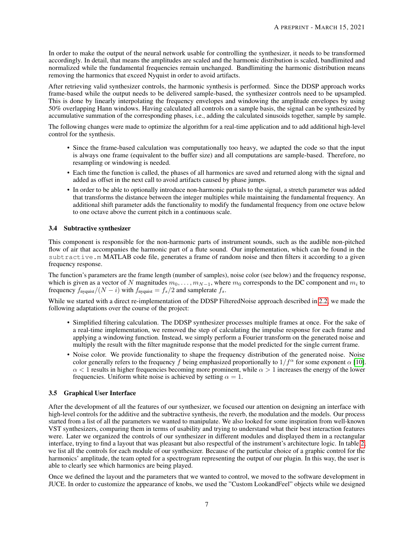In order to make the output of the neural network usable for controlling the synthesizer, it needs to be transformed accordingly. In detail, that means the amplitudes are scaled and the harmonic distribution is scaled, bandlimited and normalized while the fundamental frequencies remain unchanged. Bandlimiting the harmonic distribution means removing the harmonics that exceed Nyquist in order to avoid artifacts.

After retrieving valid synthesizer controls, the harmonic synthesis is performed. Since the DDSP approach works frame-based while the output needs to be delivered sample-based, the synthesizer controls need to be upsampled. This is done by linearly interpolating the frequency envelopes and windowing the amplitude envelopes by using 50% overlapping Hann windows. Having calculated all controls on a sample basis, the signal can be synthesized by accumulative summation of the corresponding phases, i.e., adding the calculated sinusoids together, sample by sample.

The following changes were made to optimize the algorithm for a real-time application and to add additional high-level control for the synthesis.

- Since the frame-based calculation was computationally too heavy, we adapted the code so that the input is always one frame (equivalent to the buffer size) and all computations are sample-based. Therefore, no resampling or windowing is needed.
- Each time the function is called, the phases of all harmonics are saved and returned along with the signal and added as offset in the next call to avoid artifacts caused by phase jumps.
- In order to be able to optionally introduce non-harmonic partials to the signal, a stretch parameter was added that transforms the distance between the integer multiples while maintaining the fundamental frequency. An additional shift parameter adds the functionality to modify the fundamental frequency from one octave below to one octave above the current pitch in a continuous scale.

#### 3.4 Subtractive synthesizer

This component is responsible for the non-harmonic parts of instrument sounds, such as the audible non-pitched flow of air that accompanies the harmonic part of a flute sound. Our implementation, which can be found in the subtractive.m MATLAB code file, generates a frame of random noise and then filters it according to a given frequency response.

The function's parameters are the frame length (number of samples), noise color (see below) and the frequency response, which is given as a vector of N magnitudes  $m_0, \ldots, m_{N-1}$ , where  $m_0$  corresponds to the DC component and  $m_i$  to frequency  $f_{\text{nyquist}}/(N - i)$  with  $f_{\text{nyquist}} = f_s/2$  and samplerate  $f_s$ .

While we started with a direct re-implementation of the DDSP FilteredNoise approach described in [2.2,](#page-2-2) we made the following adaptations over the course of the project:

- Simplified filtering calculation. The DDSP synthesizer processes multiple frames at once. For the sake of a real-time implementation, we removed the step of calculating the impulse response for each frame and applying a windowing function. Instead, we simply perform a Fourier transform on the generated noise and multiply the result with the filter magnitude response that the model predicted for the single current frame.
- Noise color. We provide functionality to shape the frequency distribution of the generated noise. Noise color generally refers to the frequency f being emphasized proportionally to  $1/f^{\alpha}$  for some exponent  $\alpha$  [\[10\]](#page-10-9).  $\alpha$  < 1 results in higher frequencies becoming more prominent, while  $\alpha$  > 1 increases the energy of the lower frequencies. Uniform white noise is achieved by setting  $\alpha = 1$ .

## 3.5 Graphical User Interface

After the development of all the features of our synthesizer, we focused our attention on designing an interface with high-level controls for the additive and the subtractive synthesis, the reverb, the modulation and the models. Our process started from a list of all the parameters we wanted to manipulate. We also looked for some inspiration from well-known VST synthesizers, comparing them in terms of usability and trying to understand what their best interaction features were. Later we organized the controls of our synthesizer in different modules and displayed them in a rectangular interface, trying to find a layout that was pleasant but also respectful of the instrument's architecture logic. In table [2,](#page-7-0) we list all the controls for each module of our synthesizer. Because of the particular choice of a graphic control for the harmonics' amplitude, the team opted for a spectrogram representing the output of our plugin. In this way, the user is able to clearly see which harmonics are being played.

Once we defined the layout and the parameters that we wanted to control, we moved to the software development in JUCE. In order to customize the appearance of knobs, we used the "Custom LookandFeel" objects while we designed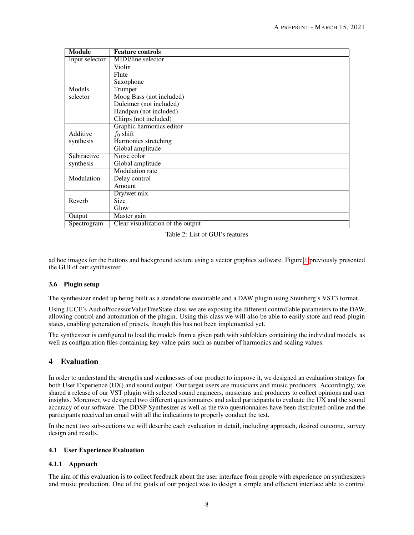<span id="page-7-0"></span>

| <b>Module</b>  | <b>Feature controls</b>           |
|----------------|-----------------------------------|
| Input selector | MIDI/line selector                |
|                | Violin                            |
|                | Flute                             |
|                | Saxophone                         |
| Models         | Trumpet                           |
| selector       | Moog Bass (not included)          |
|                | Dulcimer (not included)           |
|                | Handpan (not included)            |
|                | Chirps (not included)             |
|                | Graphic harmonics editor          |
| Additive       | $f_0$ shift                       |
| synthesis      | Harmonics stretching              |
|                | Global amplitude                  |
| Subtractive    | Noise color                       |
| synthesis      | Global amplitude                  |
|                | <b>Modulation</b> rate            |
| Modulation     | Delay control                     |
|                | Amount                            |
|                | Dry/wet mix                       |
| Reverb         | Size                              |
|                | Glow                              |
| Output         | Master gain                       |
| Spectrogram    | Clear visualization of the output |

Table 2: List of GUI's features

ad hoc images for the buttons and background texture using a vector graphics software. Figure [1](#page-1-0) previously presented the GUI of our synthesizer.

## 3.6 Plugin setup

The synthesizer ended up being built as a standalone executable and a DAW plugin using Steinberg's VST3 format.

Using JUCE's AudioProcessorValueTreeState class we are exposing the different controllable parameters to the DAW, allowing control and automation of the plugin. Using this class we will also be able to easily store and read plugin states, enabling generation of presets, though this has not been implemented yet.

The synthesizer is configured to load the models from a given path with subfolders containing the individual models, as well as configuration files containing key-value pairs such as number of harmonics and scaling values.

# 4 Evaluation

In order to understand the strengths and weaknesses of our product to improve it, we designed an evaluation strategy for both User Experience (UX) and sound output. Our target users are musicians and music producers. Accordingly, we shared a release of our VST plugin with selected sound engineers, musicians and producers to collect opinions and user insights. Moreover, we designed two different questionnaires and asked participants to evaluate the UX and the sound accuracy of our software. The DDSP Synthesizer as well as the two questionnaires have been distributed online and the participants received an email with all the indications to properly conduct the test.

In the next two sub-sections we will describe each evaluation in detail, including approach, desired outcome, survey design and results.

## 4.1 User Experience Evaluation

## 4.1.1 Approach

The aim of this evaluation is to collect feedback about the user interface from people with experience on synthesizers and music production. One of the goals of our project was to design a simple and efficient interface able to control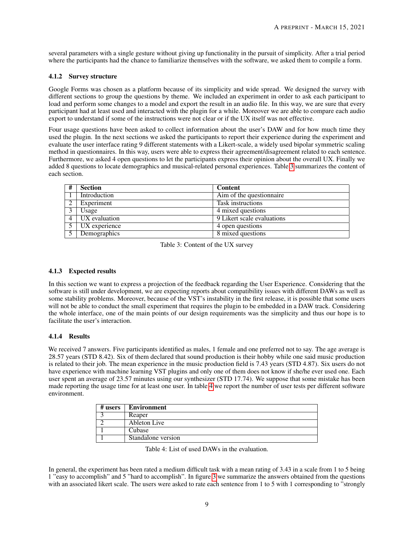several parameters with a single gesture without giving up functionality in the pursuit of simplicity. After a trial period where the participants had the chance to familiarize themselves with the software, we asked them to compile a form.

#### 4.1.2 Survey structure

Google Forms was chosen as a platform because of its simplicity and wide spread. We designed the survey with different sections to group the questions by theme. We included an experiment in order to ask each participant to load and perform some changes to a model and export the result in an audio file. In this way, we are sure that every participant had at least used and interacted with the plugin for a while. Moreover we are able to compare each audio export to understand if some of the instructions were not clear or if the UX itself was not effective.

Four usage questions have been asked to collect information about the user's DAW and for how much time they used the plugin. In the next sections we asked the participants to report their experience during the experiment and evaluate the user interface rating 9 different statements with a Likert-scale, a widely used bipolar symmetric scaling method in questionnaires. In this way, users were able to express their agreement/disagreement related to each sentence. Furthermore, we asked 4 open questions to let the participants express their opinion about the overall UX. Finally we added 8 questions to locate demographics and musical-related personal experiences. Table [3](#page-8-0) summarizes the content of each section.

<span id="page-8-0"></span>

| # | <b>Section</b>    | <b>Content</b>             |
|---|-------------------|----------------------------|
|   | Introduction      | Aim of the questionnaire   |
|   | Experiment        | Task instructions          |
|   | Usage             | 4 mixed questions          |
|   | UX evaluation     | 9 Likert scale evaluations |
|   | 5   UX experience | 4 open questions           |
|   | Demographics      | 8 mixed questions          |

Table 3: Content of the UX survey

## 4.1.3 Expected results

In this section we want to express a projection of the feedback regarding the User Experience. Considering that the software is still under development, we are expecting reports about compatibility issues with different DAWs as well as some stability problems. Moreover, because of the VST's instability in the first release, it is possible that some users will not be able to conduct the small experiment that requires the plugin to be embedded in a DAW track. Considering the whole interface, one of the main points of our design requirements was the simplicity and thus our hope is to facilitate the user's interaction.

#### 4.1.4 Results

We received 7 answers. Five participants identified as males, 1 female and one preferred not to say. The age average is 28.57 years (STD 8.42). Six of them declared that sound production is their hobby while one said music production is related to their job. The mean experience in the music production field is 7.43 years (STD 4.87). Six users do not have experience with machine learning VST plugins and only one of them does not know if she/he ever used one. Each user spent an average of 23.57 minutes using our synthesizer (STD 17.74). We suppose that some mistake has been made reporting the usage time for at least one user. In table [4](#page-8-1) we report the number of user tests per different software environment.

<span id="page-8-1"></span>

| # users | Environment        |
|---------|--------------------|
|         | Reaper             |
|         | Ableton Live       |
|         | Cubase             |
|         | Standalone version |

Table 4: List of used DAWs in the evaluation.

In general, the experiment has been rated a medium difficult task with a mean rating of 3.43 in a scale from 1 to 5 being 1 "easy to accomplish" and 5 "hard to accomplish". In figure [3](#page-9-0) we summarize the answers obtained from the questions with an associated likert scale. The users were asked to rate each sentence from 1 to 5 with 1 corresponding to "strongly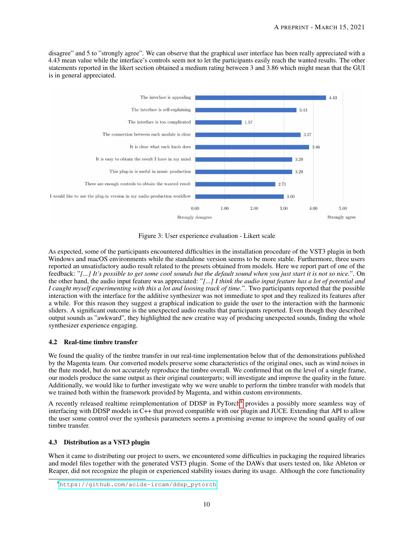disagree" and 5 to "strongly agree". We can observe that the graphical user interface has been really appreciated with a 4.43 mean value while the interface's controls seem not to let the participants easily reach the wanted results. The other statements reported in the likert section obtained a medium rating between 3 and 3.86 which might mean that the GUI is in general appreciated.



<span id="page-9-0"></span>Figure 3: User experience evaluation - Likert scale

As expected, some of the participants encountered difficulties in the installation procedure of the VST3 plugin in both Windows and macOS environments while the standalone version seems to be more stable. Furthermore, three users reported an unsatisfactory audio result related to the presets obtained from models. Here we report part of one of the feedback: "*[...] It's possible to get some cool sounds but the default sound when you just start it is not so nice.*". On the other hand, the audio input feature was appreciated: "*[...] I think the audio input feature has a lot of potential and I caught myself experimenting with this a lot and loosing track of time.*". Two participants reported that the possible interaction with the interface for the additive synthesizer was not immediate to spot and they realized its features after a while. For this reason they suggest a graphical indication to guide the user to the interaction with the harmonic sliders. A significant outcome is the unexpected audio results that participants reported. Even though they described output sounds as "awkward", they highlighted the new creative way of producing unexpected sounds, finding the whole synthesizer experience engaging.

## 4.2 Real-time timbre transfer

We found the quality of the timbre transfer in our real-time implementation below that of the demonstrations published by the Magenta team. Our converted models preserve some characteristics of the original ones, such as wind noises in the flute model, but do not accurately reproduce the timbre overall. We confirmed that on the level of a single frame, our models produce the same output as their original counterparts; will investigate and improve the quality in the future. Additionally, we would like to further investigate why we were unable to perform the timbre transfer with models that we trained both within the framework provided by Magenta, and within custom environments.

A recently released realtime reimplementation of DDSP in PyTorch<sup>[8](#page-9-1)</sup> provides a possibly more seamless way of interfacing with DDSP models in C++ that proved compatible with our plugin and JUCE. Extending that API to allow the user some control over the synthesis parameters seems a promising avenue to improve the sound quality of our timbre transfer.

## 4.3 Distribution as a VST3 plugin

When it came to distributing our project to users, we encountered some difficulties in packaging the required libraries and model files together with the generated VST3 plugin. Some of the DAWs that users tested on, like Ableton or Reaper, did not recognize the plugin or experienced stability issues during its usage. Although the core functionality

<span id="page-9-1"></span><sup>8</sup>[https://github.com/acids-ircam/ddsp\\_pytorch](https://github.com/acids-ircam/ddsp_pytorch)